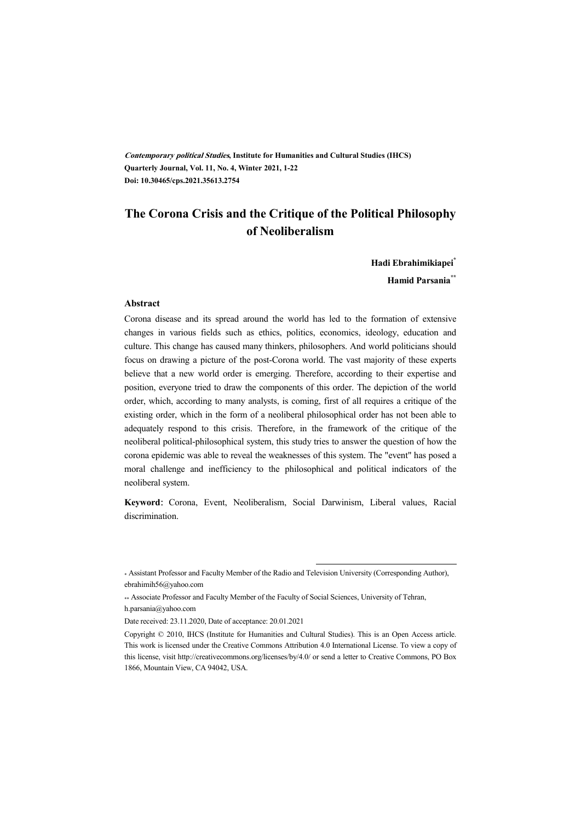**Contemporary political Studies, Institute for Humanities and Cultural Studies (IHCS) Quarterly Journal, Vol. 11, No. 4, Winter 2021, 1-22 Doi: 10.30465/cps.2021.35613.2754** 

# **The Corona Crisis and the Critique of the Political Philosophy of Neoliberalism**

**Hadi Ebrahimikiapei\***

**Hamid Parsania\*\***

#### **Abstract**

Corona disease and its spread around the world has led to the formation of extensive changes in various fields such as ethics, politics, economics, ideology, education and culture. This change has caused many thinkers, philosophers. And world politicians should focus on drawing a picture of the post-Corona world. The vast majority of these experts believe that a new world order is emerging. Therefore, according to their expertise and position, everyone tried to draw the components of this order. The depiction of the world order, which, according to many analysts, is coming, first of all requires a critique of the existing order, which in the form of a neoliberal philosophical order has not been able to adequately respond to this crisis. Therefore, in the framework of the critique of the neoliberal political-philosophical system, this study tries to answer the question of how the corona epidemic was able to reveal the weaknesses of this system. The "event" has posed a moral challenge and inefficiency to the philosophical and political indicators of the neoliberal system.

**Keyword:** Corona, Event, Neoliberalism, Social Darwinism, Liberal values, Racial discrimination.

.

<sup>\*</sup> Assistant Professor and Faculty Member of the Radio and Television University (Corresponding Author), ebrahimih56@yahoo.com

<sup>\*\*</sup> Associate Professor and Faculty Member of the Faculty of Social Sciences, University of Tehran, h.parsania@yahoo.com

Date received: 23.11.2020, Date of acceptance: 20.01.2021

Copyright © 2010, IHCS (Institute for Humanities and Cultural Studies). This is an Open Access article. This work is licensed under the Creative Commons Attribution 4.0 International License. To view a copy of this license, visit http://creativecommons.org/licenses/by/4.0/ or send a letter to Creative Commons, PO Box 1866, Mountain View, CA 94042, USA.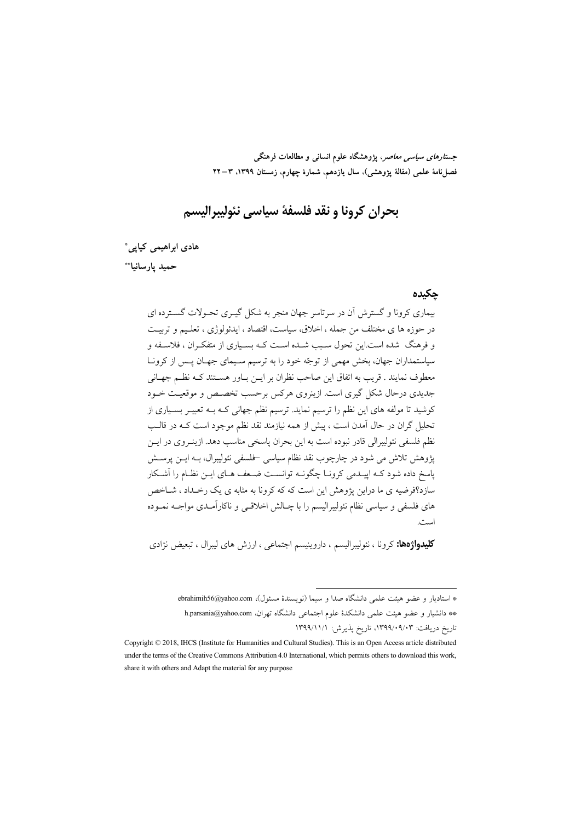جس*تارهای سیاسی معاصر*، پژوهشگاه علوم انسانی و مطالعات فرهنگی فصل نامة علمي (مقالة يژوهشي)، سال يازدهم، شمارة چهارم، زمستان ١٣٩٩، ٣–٢٢

بحران كرونا و نقد فلسفة سياسي نئوليبراليسم

هادی ابراهیمی کیایی\*

حميد يارسانيا\*\*

#### حكىدە

بیماری کرونا و گسترش آن در سرتاسر جهان منجر به شکل گیـری تحـولات گسـترده ای در حوزه ها ي مختلف من جمله ، اخلاق، سياست، اقتصاد ، ايدئولوژي ، تعليم و تربيت و فرهنگ شده است.این تحول سـبب شـده اسـت کـه بسـیاری از متفکـران ، فلاسـفه و سیاستمداران جهان، بخش مهمی از توجّه خود را به ترسیم سـیمای جهـان پــس از کرونــا معطوف نمايند . قريب به اتفاق اين صاحب نظران بر ايــن بــاور هســتند كــه نظــم جهــاني جدیدی درحال شکل گیری است. ازینروی هرکس برحسب تخصص و موقعیت خــود کوشید تا مولفه های این نظم را ترسیم نماید. ترسیم نظم جهانی کـه بـه تعبیـر بسـیاری از تحلیل گران در حال آمدن است ، پیش از همه نیازمند نقد نظم موجود است کـه در قالــب نظم فلسفي نئوليبرالي قادر نبوده است به اين بحران پاسخي مناسب دهد. ازينـروي در ايـن پژوهش تلاش می شود در چارچوب نقد نظام سیاسی –فلسفی نئولیبرال، بـه ایــن پرســش یاسخ داده شود کـه اییـدمی کرونــا چگونــه توانسـت ضــعف هــای ایــن نظــام را آشــکار سازد؟فرضیه ی ما دراین یژوهش این است که که کرونا به مثابه ی یک رخـداد ، شــاخص های فلسفی و سیاسی نظام نئولیبرالیسم را با چـالش اخلاقـی و ناکارآمـدی مواجـه نمـوده است.

**کلیدواژهها:** کرونا ، نئولیبرالیسم ، داروینیسم اجتماعی ، ارزش های لیبرال ، تبعیض نژادی

\* استادیار و عضو هیئت علمی دانشگاه صدا و سیما (نویسندهٔ مسئول)، ebrahimih56@yahoo.com \*\* دانشیار و عضو هیئت علمی دانشکدهٔ علوم اجتماعی دانشگاه تهران، h.parsania@yahoo.com تاريخ دريافت: ۰۹/۰۹/۰۹/۰۳، تاريخ پذيرش: ۱۳۹۹/۱۱/۱

Copyright © 2018, IHCS (Institute for Humanities and Cultural Studies). This is an Open Access article distributed under the terms of the Creative Commons Attribution 4.0 International, which permits others to download this work, share it with others and Adapt the material for any purpose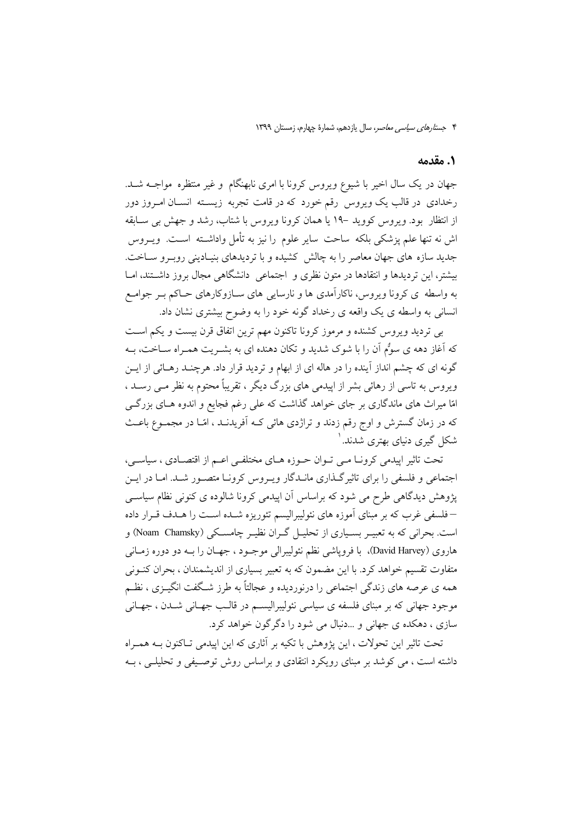#### 1. مقدمه

جهان در یک سال اخیر با شیوع ویروس کرونا با امری نابهنگام و غیر منتظره مواجـه شـد. رخدادی در قالب یک ویروس رقم خورد که در قامت تجربه زیسـته انســان امـروز دور از انتظار پود. ویروس کووید –۱۹ یا همان کرونا ویروس با شتاب، رشد و جهش پی سیایقه اش نه تنها علم پزشکی بلکه ساحت سایر علوم را نیز به تأمل واداشـته اسـت. ویــروس جدید سازه های جهان معاصر را به چالش کشیده و با تردیدهای بنیـادینی روبـرو سـاخت. بیشتر، این تردیدها و انتقادها در متون نظری و ِ اجتماعی ِ دانشگاهی مجال بروز داشــتند، امــا به واسطه ی کرونا ویروس، ناکارآمدی ها و نارسایی های سـازوکارهای حـاکم بـر جوامـع انسانی به واسطه ی یک واقعه ی رخداد گونه خود را به وضوح بیشتری نشان داد.

بی تردید ویروس کشنده و مرموز کرونا تاکنون مهم ترین اتفاق قرن بیست و یکم است که آغاز دهه ی سوٌم اَن را با شوک شدید و تکان دهنده ای به بشـریت همـراه سـاخت، بـه گونه ای که چشم انداز آینده را در هاله ای از ابهام و تردید قرار داد. هرچنـد رهـائی از ایــن ویروس به تاسی از رهائی بشر از اییدمی های بزرگ دیگر ، تقریباً محتوم به نظر مــی رســد ، امّا میراث های ماندگاری بر جای خواهد گذاشت که علی رغم فجایع و اندوه هـای بزرگــی که در زمان گسترش و اوج رقم زدند و تراژدی هائی کـه آفریدنــد ، امّــا در مجمــوع باعــث شکل گیری دنیای بهتری شدند. ۱

تحت تاثیر ایپدمی کرونــا مــی تــوان حــوزه هــای مختلفــی اعــم از اقتصــادی ، سیاســی، اجتماعی و فلسفی را برای تاثیر گـذاری مانـدگار ویـروس کرونـا متصـور شـد. امـا در ایـن یژوهش دیدگاهی طرح می شود که براساس آن اییدمی کرونا شالوده ی کنونی نظام سیاسبی –فلسفی غرب که بر مبنای آموزه های نئولیبرالیسم تئوریزه شـده اسـت را هـدف قــرار داده است. بحرانی که به تعبیـر بسـیاری از تحلیـل گـران نظیـر چامسـکی (Noam Chamsky) و هاروي (David Harvey)، با فروياشي نظم نئوليبرالي موجـود ، جهــان را بــه دو دوره زمــاني متفاوت تقسیم خواهد کرد. با این مضمون که به تعبیر بسیاری از اندیشمندان ، بحران کنــونی همه ی عرصه های زندگی اجتماعی را درنوردیده و عجالتاً به طرز شـگفت انگیــزی ، نظــم موجود جهانی که بر مبنای فلسفه ی سیاسی نئولیبرالیسـم در قالـب جهـانی شـدن ، جهـانی سازي ، دهکده ي جهاني و …دنبال مي شود را دگر گون خواهد کرد.

تحت تاثیر این تحولات ، این پژوهش با تکیه بر آثاری که این ایپدمی تـاکنون بــه همـراه داشته است ، می کوشد بر مبنای رویکرد انتقادی و براساس روش توصیفی و تحلیلی ، بـه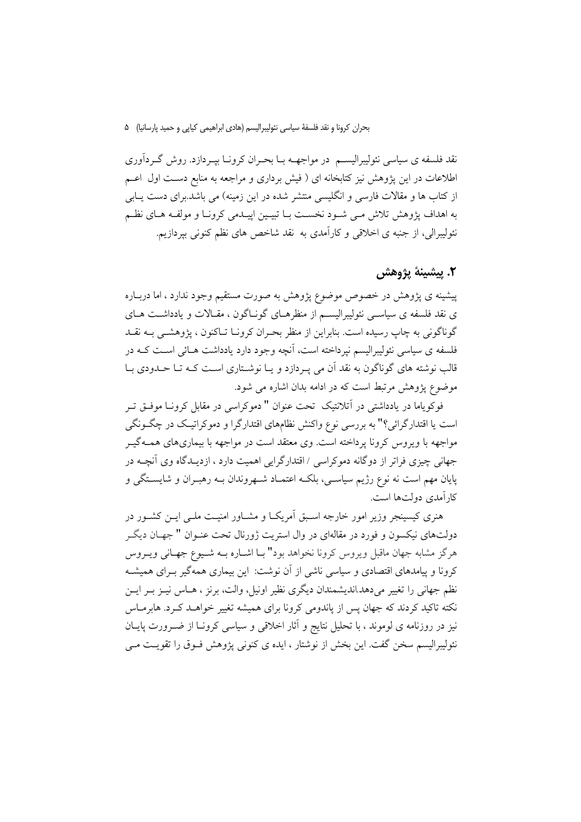بحران كرونا و نقد فلسفهٔ سیاسی نئولیبرالیسم (هادی ابراهیمی كیایی و حمید پارسانیا) ۵۰

نقد فلسفه ی سیاسی نئولیبرالیســم در مواجهــه بــا بحــران کرونــا بیــردازد. روش گــردآوری اطلاعات در این یژوهش نیز کتابخانه ای ( فیش برداری و مراجعه به منابع دست اول اعــم از کتاب ها و مقالات فارسی و انگلیسی منتشر شده در این زمینه) می باشد.برای دست یــابی به اهداف یژوهش تلاش مـی شـود نخسـت بـا تبیـین اییـدمی کرونـا و مولفـه هـای نظـم نئوليبرالي، از جنبه ي اخلاقي و كارآمدي به نقد شاخص هاي نظم كنوني بيردازيم.

# ٢. يېشىنة پژوهش

پیشینه ی پژوهش در خصوص موضوع پژوهش به صورت مستقیم وجود ندارد ، اما دربـاره ی نقد فلسفه ی سیاسـی نئولیبرالیسـم از منظرهـای گونـاگون ، مقـالات و یادداشـت هـای گوناگونی به چاپ رسیده است. بنابراین از منظر بحـران کرونـا تـاکنون ، پژوهشـی بـه نقــد فلسفه ی سیاسی نئولیبرالیسم نپرداخته است، اَنچه وجود دارد یادداشت هــائی اســت کــه در قالب نوشته های گوناگون به نقد آن می پـردازد و پـا نوشـتاری اسـت کـه تـا حـدودی بـا موضوع پژوهش مرتبط است که در ادامه بدان اشاره می شود.

فوکویاما در یادداشتی در آتلانتیک تحت عنوان " دموکراسی در مقابل کرونـا موفـق تـر است یا اقتدارگرائی؟" به بررسی نوع واکنش نظامهای اقتدارگرا و دموکراتیک در چگونگی مواجهه با ویروس کرونا پرداخته است. وی معتقد است در مواجهه با بیماریهای همـهگیـر جهانی چیزی فراتر از دوگانه دموکراسی / اقتدارگرایی اهمیت دارد ، ازدیــدگاه وی آنچــه در پایان مهم است نه نوع رژیم سیاسی، بلکـه اعتمـاد شـهروندان بـه رهبـران و شایسـتگی و کار آمدی دولتها است.

هنری کیسپنجر وزیر امور خارجه اسـبق اَمریکـا و مشــاور امنیــت ملــی ایــن کشــور در دولتهای نیکسون و فورد در مقالهای در وال استریت ژورنال تحت عنـوان " جهـان دیگـر هرگز مشابه جهان ماقبل ویروس کرونا نخواهد بود" بـا اشــاره بــه شــیوع جهــانی ویــروس کرونا و پیامدهای اقتصادی و سیاسی ناشی از آن نوشت: این بیماری همهگیر بـرای همیشـه نظم جهانی را تغییر میدهد اندیشمندان دیگری نظیر اونیل، والت، برنز ، هــاس نیــز بــر ایــن نکته تاکید کردند که جهان پس از پاندومی کرونا برای همیشه تغییر خواهـد کـرد. هابرمـاس نیز در روزنامه ی لوموند ، با تحلیل نتایج و آثار اخلاقی و سیاسی کرونـا از ضـرورت پایــان نئولیبرالیسم سخن گفت. این بخش از نوشتار ، ایده ی کنونی پژوهش فـوق را تقویـت مـے ً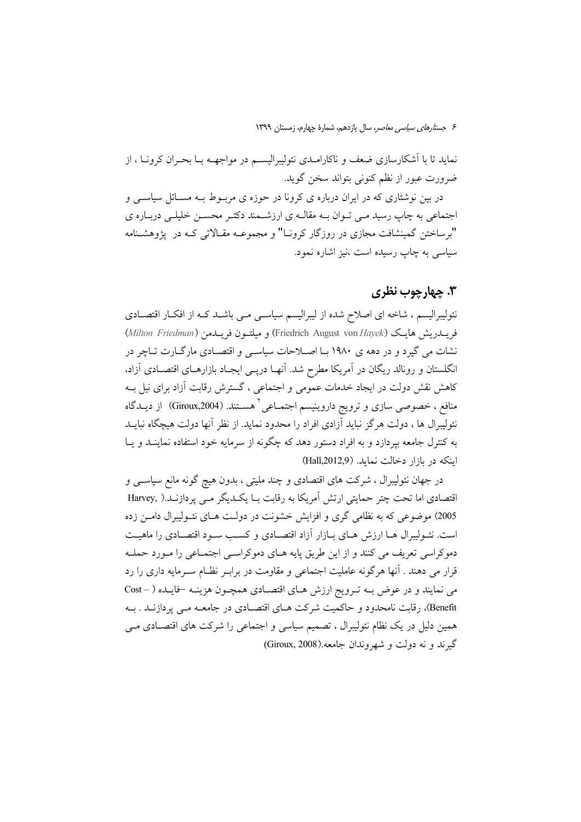نماید تا با آشکارسازی ضعف و ناکارامـدی نئولیبرالیســم در مواجهــه بــا بحــران کرونــا ، از ضرورت عبور از نظم کنونی بتواند سخن گوید.

در بین نوشتاری که در ایران درباره ی کرونا در حوزه ی مربـوط بـه مسـائل سیاســی و اجتماعی به چاپ رسید مـی تـوان بــه مقالــه ی ارزشــمند دکتـر محســن خلیلــی دربــاره ی "برساختن گمینشافت مجازی در روزگار کرونـا" و مجموعـه مقـالاتی کـه در پژوهشـنامه سیاسی به چاپ رسیده است ،نیز اشاره نمود.

### ۳. چهارچوب نظری

نئولیبرالیسم ، شاخه ای اصلاح شده از لیبرالیسم سیاسـی مـی باشـد کـه از افکـار اقتصـادی فريــــدريش هايـك (Friedrich August von Hayek) و ميلتـــون فريــــدمن (Milton Friedman) نشات می گیرد و در دهه ی ۱۹۸۰ بـا اصـلاحات سیاسـی و اقتصـادی مارگــارت تــاچر در انگلستان و رونالد ریگان در آمریکا مطرح شد. آنهـا دریـی ایجـاد بازارهـای اقتصـادی آزاد، کاهش نقش دولت در ایجاد خدمات عمومی و اجتماعی ، گسترش رقابت آزاد برای نیل بـه منافع ، خصوصی سازی و ترویج داروینیسم اجتمــاعی ٔ هســتند. (Giroux,2004) از دیــدگاه نئولیبرال ها ، دولت هرگز نباید آزادی افراد را محدود نماید. از نظر آنها دولت هیچگاه نبایــد به کنترل جامعه بپردازد و به افراد دستور دهد که چگونه از سرمایه خود استفاده نماینــد و یــا اینکه در بازار دخالت نماید. (Hall,2012,9)

در جهان نئولیبرال ، شرکت های اقتصادی و چند ملیتی ، بدون هیچ گونه مانع سیاســی و اقتصادی اما تحت چتر حمایتی ارتش اَمریکا به رقابت بـا یکـدیگر مـی پردازنـد.( Harvey, 2005) موضوعی که به نظامی گری و افزایش خشونت در دولت هـای نئـوليبرال دامـن زده است. نئـوليبرال هـا ارزش هـاي بـازار آزاد اقتصـادي و كسـب سـود اقتصـادي را ماهيـت دموکراسی تعریف می کنند و از این طریق پایه هـای دموکراسـی اجتمـاعی را مـورد حملـه قرار می دهند . آنها هرگونه عاملیت اجتماعی و مقاومت در برابـر نظـام سـرمایه داری را رد می نمایند و در عوض بـه تـرویج ارزش هـای اقتصـادی همچـون هزینـه -فایـده ( - Cost Benefit)، رقابت نامحدود و حاکمیت شرکت هـای اقتصـادی در جامعـه مـی پردازنــد . بــه همین دلیل در یک نظام نئولیبرال ، تصمیم سیاسی و اجتماعی را شرکت های اقتصـادی مـی گېرند و نه دولت و شهروندان جامعه.(Giroux, 2008)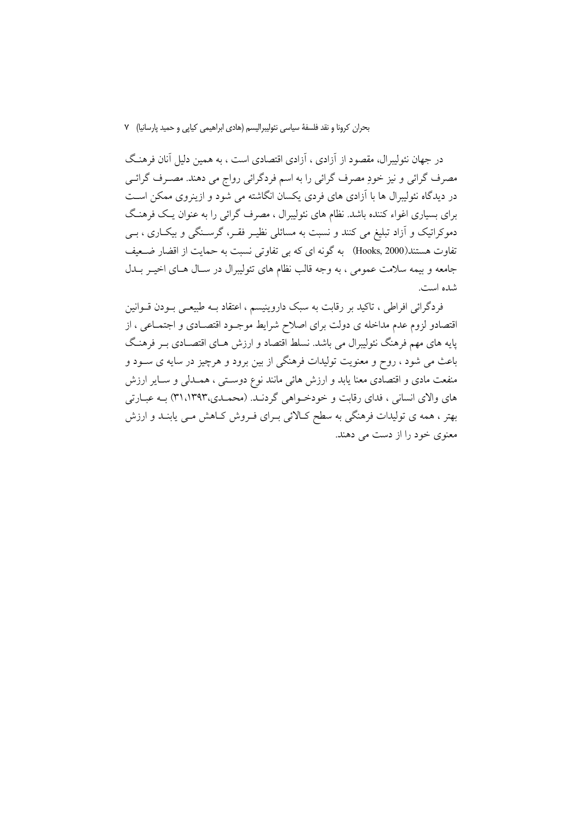بحران كرونا و نقد فلسفة سياسي نئوليبراليسم (هادي ابراهيمي كيايي و حميد پارسانيا) V

در جهان نئولیبرال، مقصود از آزادی ، آزادی اقتصادی است ، به همین دلیل آنان فرهنگ مصرف گرائی و نیز خودِ مصرف گرائی را به اسم فردگرائی رواج می دهند. مصـرف گرائـی در دیدگاه نئولیبرال ها با آزادی های فردی یکسان انگاشته می شود و ازینروی ممکن است برای بسیاری اغواء کننده باشد. نظام های نئولیبرال ، مصرف گرائی را به عنوان یـک فرهنـگ دموکراتیک و آزاد تبلیغ می کنند و نسبت به مسائلی نظیـر فقـر، گرسـنگی و بیکـاری ، بـی تفاوت هستند(Hooks, 2000) به گونه ای که بی تفاوتی نسبت به حمایت از اقضار ضعیف جامعه و بيمه سلامت عمومي ، به وجه قالب نظام هاي تئوليبرال در سـال هـاي اخيـر بــدل شده است.

فردگرائی افراطی ، تاکید بر رقابت به سبک داروینیسم ، اعتقاد بـه طبیعـی بـودن قــوانین اقتصادو لزوم عدم مداخله ی دولت برای اصلاح شرایط موجـود اقتصـادی و اجتمـاعی ، از پایه های مهم فرهنگ نئولیبرال می باشد. نسلط اقتصاد و ارزش هـای اقتصـادی بـر فرهنـگ باعث می شود ، روح و معنویت تولیدات فرهنگی از بین برود و هرچیز در سایه ی ســود و منفعت مادی و اقتصادی معنا یابد و ارزش هائی مانند نوع دوستی ، همـدلی و سـایر ارزش های والای انسانی ، فدای رقابت و خودخـواهی گردنــد. (محمــدی،۱۳۹۳،۱۳۹۳) بــه عبــارتی بهتر ، همه ی تولیدات فرهنگی به سطح کـالائی بـرای فـروش کـاهش مـی یابنـد و ارزش معنوی خود را از دست می دهند.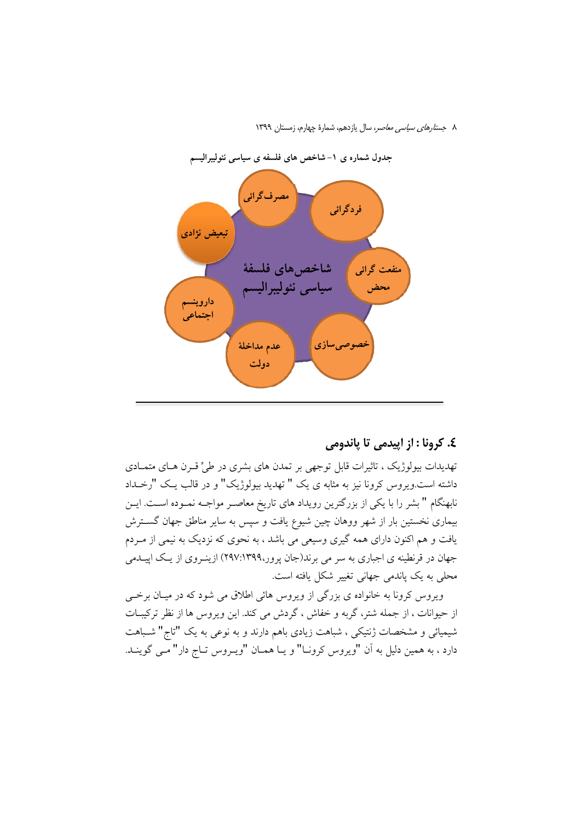

### ٤. کرونا : از ایپدمی تا پاندومی

تهدیدات بیولوژیک ، تاثیرات قابل توجهی بر تمدن های بشری در طیٍّ قـرن هـای متمـادی داشته است.ویروس کرونا نیز به مثابه ی یک " تهدید بیولوژیک" و در قالب یـک "رخــداد نابهنگام " بشر را با یکی از بزرگترین رویداد های تاریخ معاصـر مواجـه نمـوده اسـت. ایــن بیماری نخستین بار از شهر ووهان چین شیوع یافت و سپس به سایر مناطق جهان گسترش یافت و هم اکنون دارای همه گیری وسیعی می باشد ، به نحوی که نزدیک به نیمی از مـردم جهان در قرنطینه ی اجباری به سر می برند(جان پرور،۱۳۹۹:۱۶۹۷) ازینوروی از یک اپیـدمی محلي به يک ياندمي جهاني تغيير شکل يافته است.

ویروس کرونا به خانواده ی بزرگی از ویروس هائی اطلاق می شود که در میـان برخــی از حیوانات ، از جمله شتر، گربه و خفاش ، گردش می کند. این ویروس ها از نظر ترکیبـات شیمیائی و مشخصات ژنتیکی ، شباهت زیادی باهم دارند و به نوعی به یک "تاج" شـباهت دارد ، به همین دلیل به آن "ویروس کرونـا" و یـا همـان "ویـروس تـاج دار" مـی گوینـد.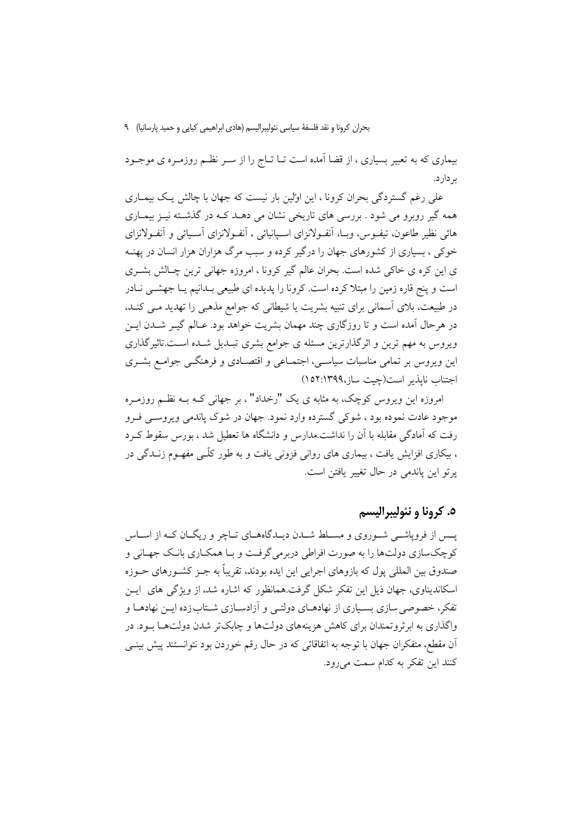بحران كرونا و نقد فلسفهٔ سیاسی نئولیبرالیسم (هادی ابراهیمی كیایی و حمید پارسانیا) ۹

بیماری که به تعبیر بسیاری ، از قضا اَمده است تــا تــاج را از ســر نظــم روزمــره ی موجــود ب دار د.

علی رغم گستردگی بحران کرونا ، این اولین بار نیست که جهان با چالش یک بیمـاری همه گیر روبرو می شود . بررسی های تاریخی نشان می دهـد کـه در گذشـته نیـز بیمـاری هائی نظیر طاعون، تیفـوس، وبــا، اَنفـولانزای اسـیانیائی ، اَنفـولانزای اَسـیائی و اَنفـولانزای خوکی ، بسیاری از کشورهای جهان را درگیر کرده و سبب مرگ هزاران هزار انسان در یهنـه ی این کره ی خاکی شده است. بحران عالم گیر کرونا ، امروزه جهانی ترین چـالش بشـری است و پنج قاره زمین را مبتلا کرده است. کرونا را پدیده ای طبیعی بـدانیم یـا جهشــی نـادر در طبیعت، بلای اَسمانی برای تنبیه بشریت یا شیطانی که جوامع مذهبی را تهدید مـی کنـد، در هرحال آمده است و تا روزگاری چند مهمان بشریت خواهد بود. عـالم گیــر شــدن ایــن ویروس به مهم ترین و اثرگذارترین مسئله ی جوامع بشری تبـدیل شـده اسـت.تاثیرگذاری این ویروس بر تمامی مناسبات سیاسی، اجتمـاعی و اقتصـادی و فرهنگـی جوامـع بشـری اجتناب نابذير است(حت ساز،١٣٩٩:١٥٢)

امروزه این ویروس کوچک، به مثابه ی یک "رخداد" ، بر جهانی کـه بـه نظـم روزمـره موجود عادت نموده بود ، شوکی گسترده وارد نمود. جهان در شوک پاندمی ویروســی فــرو رفت که آمادگی مقابله با آن را نداشت.مدارس و دانشگاه ها تعطیل شد ، بورس سقوط ک د ، بیکاری افزایش یافت ، بیماری های روانی فزونی یافت و به طور کلّـی مفهــوم زنــدگی در يرتو اين ياندمي در حال تغيير يافتن است.

## ٥. کرونا و نئوليبراليسم

پــس از فروپاشــي شــوروي و مســلط شــدن ديــدگاههــاي تــاچر و ريگــان كــه از اســاس کوچکسازی دولتها را به صورت افراطی دربرمی گرفت و بـا همکـاری بانـک جهـانی و صندوق بین المللی پول که بازوهای اجرایی این ایده بودند، تقریباً به جـز کشـورهای حـوزه اسکاندیناوی، جهان ذیل این تفکر شکل گرفت.همانظور که اشاره شد، از ویژگی های ایــن تفکر، خصوصی سازی بسـیاری از نهادهــای دولتــی و آزادســازی شــتاب زده ایــن نهادهــا و واگذاری به ایر ثرو تمندان برای کاهش هزینههای دولتها و چایک تر شدن دولتهها سود. در اّن مقطع، متفکران جهان با توجه به اتفاقاتی که در حال رقم خوردن بود نتوانستند پیش بینــی کنند این تفکر به کدام سمت میرود.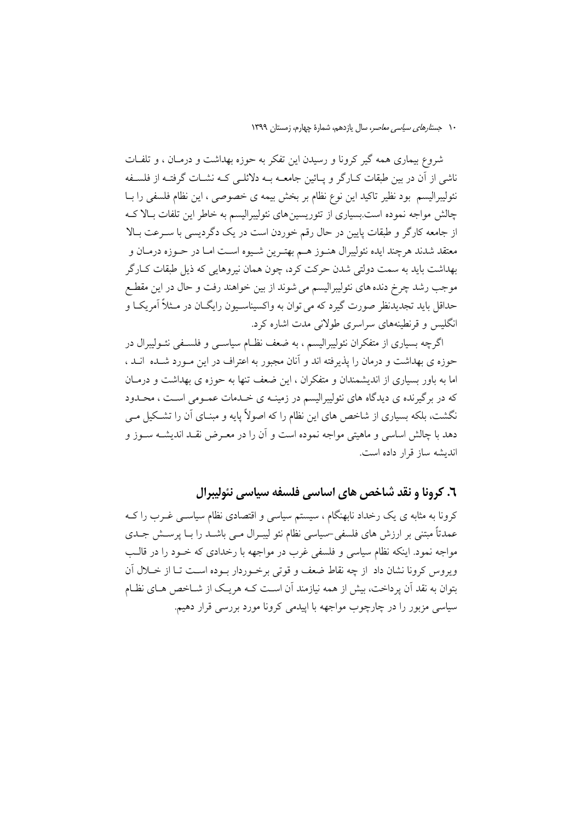شروع بیماری همه گیر کرونا و رسیدن این تفکر به حوزه بهداشت و درمـان ، و تلفـات ناشی از آن در بین طبقات کـارگر و پـائین جامعــه بــه دلائلــی کــه نشــات گرفتــه از فلســفه نئولیبرالیسم بود نظیر تاکید این نوع نظام بر بخش بیمه ی خصوصی ، این نظام فلسفی را بــا چالش مواجه نموده است.بسیاری از تئوریسینهای نئولیبرالیسم به خاطر این تلفات بـالا کـه از جامعه کارگر و طبقات پایین در حال رقم خوردن است در یک دگردیسی با سـرعت بـالا معتقد شدند هرچند ايده نئوليبرال هنـوز هــم بهتـرين شـيوه اسـت امـا در حـوزه درمـان و بهداشت بايد به سمت دولتي شدن حركت كرد، چون همان نيروهايي كه ذيل طبقات كــارگر موجب رشد چرخ دنده های نئولیبرالیسم می شوند از بین خواهند رفت و حال در این مقطـع حداقل باید تجدیدنظر صورت گیرد که می توان به واکسیناسـیون رایگـان در مـثلاً آمریکـا و انگلیس و قرنطینههای سراسری طولانی مدت اشاره کرد.

اگرچه بسیاری از متفکران نئولیبرالیسم ، به ضعف نظـام سیاسـی و فلسـفی نئــولیبرال در حوزه ی بهداشت و درمان را پذیرفته اند و آنان مجبور به اعتراف در این مـورد شـده انــد ، اما به باور بسیاری از اندیشمندان و متفکران ، این ضعف تنها به حوزه ی بهداشت و درمـان که در برگیرنده ی دیدگاه های نئولیبرالیسم در زمینـه ی خـدمات عمـومی اسـت ، محـدود نگشت، بلکه بسیاری از شاخص های این نظام را که اصولاً پایه و مبنــای آن را تشــکیل مــی دهد با چالش اساسی و ماهیتی مواجه نموده است و آن را در معـرض نقـد اندیشــه ســوز و انديشه ساز قرار داده است.

٦. کرونا و نقد شاخص های اساسی فلسفه سیاسی نئولیبرال

کرونا به مثابه ی یک رخداد نابهنگام ، سیستم سیاسی و اقتصادی نظام سیاســی غــرب را کــه عمدتاً مبتنی بر ارزش های فلسفی –سیاسی نظام نئو لیبـرال مـبی باشــد را بــا پرســش جــدی مواجه نمود. اینکه نظام سیاسی و فلسفی غرب در مواجهه با رخدادی که خــود را در قالــب ویروس کرونا نشان داد از چه نقاط ضعف و قوتی برخوردار بوده است تــا از خــلال آن بتوان به نقد آن یرداخت، بیش از همه نیازمند آن است کـه هریـک از شــاخص هــای نظــام سیاسی مزبور را در چارچوب مواجهه با ایپدمی کرونا مورد بررسی قرار دهیم.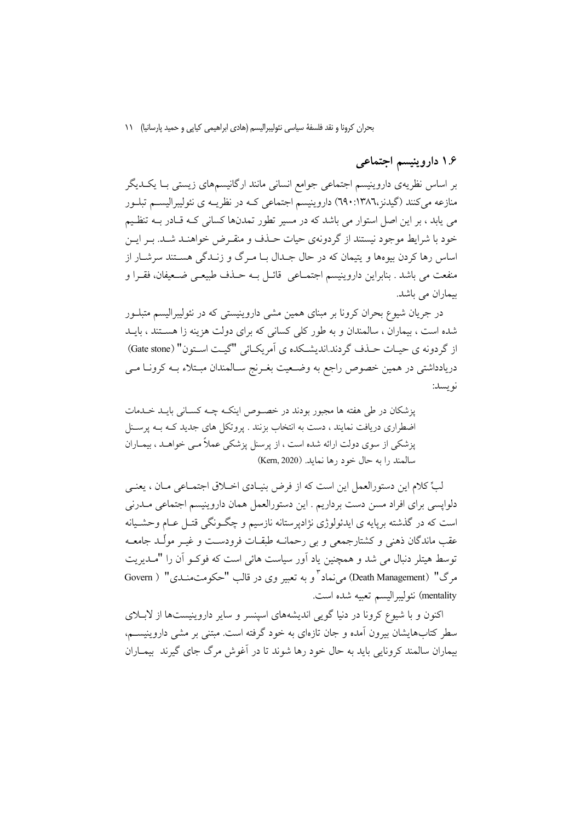بحران كرونا و نقد فلسفة سياسي نئوليبراليسم (هادي ابراهيمي كيايي و حميد پارسانيا) ١١

۱.۶ داروینیسم اجتماعی

بر اساس نظریهی داروینیسم اجتماعی جوامع انسانی مانند ارگانیسمهای زیستی بـا یکـدیگر منازعه میکنند (گیدنز،۱۳۸٦:۱۳۸۰) داروینیسم اجتماعی کـه در نظریــه ی نئولیبرالیســم تبلــور می یابد ، بر این اصل استوار می باشد که در مسیر تطور تمدنها کسانی کـه قـادر بــه تنظـیم خود با شرایط موجود نیستند از گردونهی حیات حـذف و منقـرض خواهنـد شـد. بـر ایـن اساس رها کردن بیوهها و پتیمان که در حال جـلـال بــا مــرگ و زنــلـگی هســتند سرشــار از منفعت مي باشد . بنابراين داروينيسم اجتمــاعي \_قائــل بــه حــذف طبيعــي ضــعيفان، فقــرا و بیماران می باشد.

در جریان شیوع بحران کرونا بر مبنای همین مشی داروینیستی که در نئولیبرالیسم متبلــور شده است ، بیماران ، سالمندان و به طور کلی کسانی که برای دولت هزینه زا هستند ، بایــد از گردونه ی حسات حیذف گردند.اندیشیکده ی آمریکیائی "گیت استون" (Gate stone) دریادداشتی در همین خصوص راجع به وضعیت بغـرنج سـالمندان مبـتلاء بــه کرونــا مــی نويسد:

یزشکان در طی هفته ها مجبور بودند در خصوص اینک چچه کسانی بایـد خـدمات اضطراری دریافت نمایند ، دست به انتخاب بزنند . پروتکل های جدید کـه بـه پرسـنل پزشکی از سوی دولت ارائه شده است ، از پرسنل پزشکی عملاً مے خواهـد ، بیمـاران سالمند را به حال خود رها نماید. (Kern, 2020)

لبٍّ كلام اين دستورالعمل اين است كه از فرض بنيـادي اخــلاق اجتمــاعي مــان ، يعنــي دلواپسی برای افراد مسن دست برداریم . این دستورالعمل همان داروینیسم اجتماعی مـدرنی است که در گذشته برپایه ی ایدئولوژی نژادیرستانه نازسیم و چگـونگی قتـل عـام وحشـیانه عقب ماندگان ذهنی و کشتارجمعی و بی رحمانــه طبقــات فرودســت و غیــر مولّــد جامعــه توسط هیتلر دنبال می شد و همچنین یاد آور سیاست هائی است که فوکـو اَن را "مــدیریت مرگ" (Death Management) می نماد " و به تعبیر وی در قالب "حکومتمنـدی" ( Govern mentality) نئوليبراليسم تعبيه شده است.

اکنون و با شیوع کرونا در دنیا گویی اندیشههای اسپنسر و سایر داروینیستها از لابــلای سطر کتابهایشان بیرون آمده و جان تازهای به خود گرفته است. مبتنی بر مشی داروینیسـم، بیماران سالمند کرونایی باید به حال خود رها شوند تا در آغوش مرگ جای گیرند بیمـاران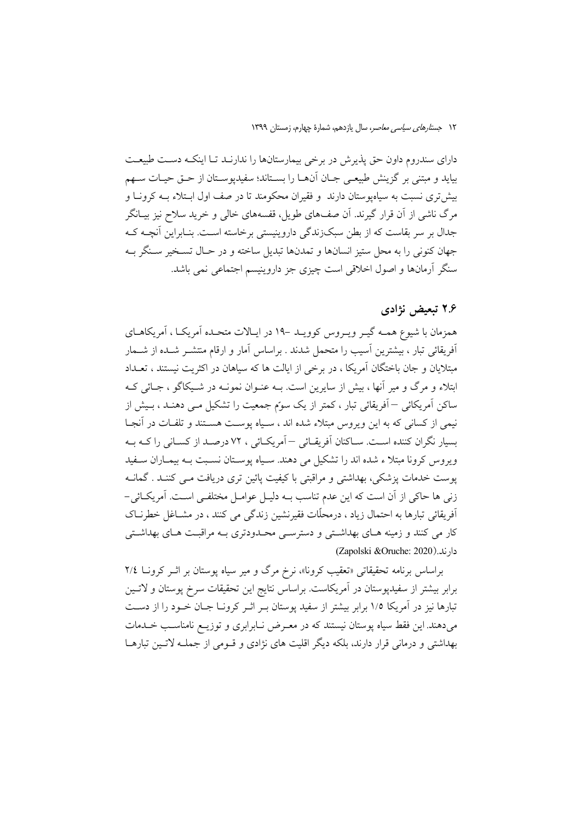دارای سندروم داون حق پذیرش در برخی بیمارستانها را ندارنـد تـا اینکـه دسـت طبیعـت بيايد و مبتني بر گزينش طبيعـي جــان آنهــا را بســتاند؛ سفيديوســتان از حــق حيــات ســهم بیش تری نسبت به سیاهپوستان دارند و فقیران محکومند تا در صف اول ابـتلاء بـه کرونـا و مرگ ناشی از آن قرار گیرند. آن صفهای طویل، قفسههای خالی و خرید سلاح نیز بیــانگر جدال بر سر بقاست که از بطن سبکزندگی داروینیستی برخاسته اسـت. بنـابراین آنچــه کــه جهان کنونی را به محل ستیز انسانها و تمدنها تبدیل ساخته و در حـال تســخیر ســنگر بــه سنگر آرمانها و اصول اخلاقی است چیزی جز داروینیسم اجتماعی نمی باشد.

### ۲.۶ تبعیض نژادی

همزمان با شیوع همـه گیـر ویـروس کوویـد -۱۹ در ایـالات متحـده آمریکـا ، آمریکاهـای آفریقائی تبار ، بیشترین آسیب را متحمل شدند . براساس آمار و ارقام منتشـر شـده از شــمار مبتلایان و جان باختگان آمریکا ، در برخی از ایالت ها که سیاهان در اکثریت نیستند ، تعــداد ابتلاء و مرگ و میر آنها ، بیش از سایرین است. بـه عنـوان نمونـه در شـیکاگو ، جـائی کـه ساکن اَمریکائی — اَفریقائی تبار ، کمتر از یک سوّم جمعیت را تشکیل مـبی دهنـد ، بـیش از نیمی از کسانی که به این ویروس مبتلاء شده اند ، سـیاه پوسـت هسـتند و تلفـات در آنجـا بسيار نگران كننده اسـت. سـاكنان آفريقـائي –آمريكـائي ، ٧٢ درصـد از كسـاني را كــه بــه ویروس کرونا مبتلا ء شده اند را تشکیل می دهند. سـیاه پوسـتان نسـبت بـه بیمـاران سـفید یوست خدمات پزشکی، بھداشتی و مراقبتی با کیفیت پائین تری دریافت مبی کننـد . گمانـه زنی ها حاکی از آن است که این عدم تناسب بـه دلیـل عوامـل مختلفـی اسـت. آمریکـائی-اَفِرِيقائی تبارها به احتمال زياد ، درمحلّات فقيرنشين زندگی می کنند ، در مشــاغل خطرنــاک کار می کنند و زمینه هـای بهداشـتی و دسترسـی محـدودتری بــه مراقبـت هـای بهداشـتی دارند. (Zapolski &Oruche: 2020)

براساس برنامه تحقیقاتی «تعقیب کرونا»، نرخ مرگ و میر سیاه یوستان بر اثـر کرونــا ٢/٤ برابر بیشتر از سفیدپوستان در آمریکاست. براساس نتایج این تحقیقات سرخ پوستان و لاتـین تبارها نیز در آمریکا ۱/۵ برابر بیشتر از سفید پوستان بـر اثـر کرونــا جــان خــود را از دســت می،دهند. این فقط سیاه پوستان نیستند که در معـرض نـابرابری و توزیـع نامناسـب خــدمات بهداشتی و درمانی قرار دارند، بلکه دیگر اقلیت های نژادی و قــومی از جملــه لاتــین تبارهــا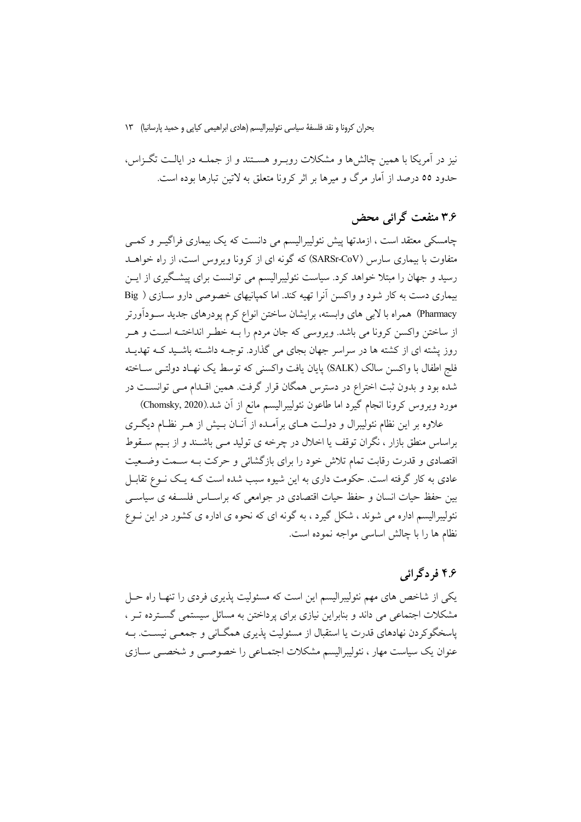بحران كرونا و نقد فلسفة سياسي نئوليبراليسم (هادي ابراهيمي كيايي و حميد يارسانيا) ١٣

نیز در آمریکا با همین چالش ها و مشکلات روب و هسـتند و از جملــه در ایالــت تگــزاس، حدود ٥٥ درصد از آمار مرگ و ميرها بر اثر كرونا متعلق به لاتين تيارها بوده است.

## ۳۶ منفعت گرائی محض

چامسکی معتقد است ، ازمدتها پیش نئولیبرالیسم می دانست که یک بیماری فراگیـر و کمـی متفاوت با بیماری سارس (SARSr-CoV) که گونه ای از کرونا ویروس است، از راه خواهــد رسید و جهان را مبتلا خواهد کرد. سیاست نئولیبرالیسم می توانست برای پیشگیری از ایــن بیماری دست به کار شود و واکسن آنرا تهیه کند. اما کمپانیهای خصوصی دارو سـازی ( Big Pharmacy) همراه با لابی های وابسته، برایشان ساختن انواع کرم یودرهای جدید سـودآورتر از ساختن واکسن کرونا می باشد. ویروسی که جان مردم را بـه خطـر انداختـه اسـت و هـر روز پشته ای از کشته ها در سراسر جهان بجای می گذارد. توجــه داشــته باشــید کــه تهدیــد فلج اطفال با واكسن سالك (SALK) يايان يافت واكسنى كه توسط يك نهـاد دولتـي ســاخته شده بود و بدون ثبت اختراع در دسترس همگان قرار گرفت. همین اقـدام مـی توانســت در مورد ويروس كرونا انجام گيرد اما طاعون نئوليبراليسم مانع از آن شد.(Chomsky, 2020)

علاوه بر این نظام نئولیبرال و دولـت هــای برآمــده از آنــان بــیش از هــر نظــام دیگــری براساس منطق بازار ، نگران توقف یا اخلال در چرخه ی تولید مـی باشـند و از بـیم سـقوط اقتصادی و قدرت رقابت تمام تلاش خود را برای بازگشائی و حرکت بـه سـمت وضـعیت عادی به کار گرفته است. حکومت داری به این شیوه سبب شده است کـه یـک نـوع تقابـل بین حفظ حیات انسان و حفظ حیات اقتصادی در جوامعی که براسـاس فلسـفه ی سیاسـی نئولیبرالیسم اداره می شوند ، شکل گیرد ، به گونه ای که نحوه ی اداره ی کشور در این نــوع نظام ها را با چالش اساسی مواجه نموده است.

# ۴.۶ فر دگر ائی

یکی از شاخص های مهم نئولیبرالیسم این است که مسئولیت پذیری فردی را تنهـا راه حــل مشکلات اجتماعی می داند و بنابراین نیازی برای پرداختن به مسائل سیستمی گسترده تـر ، یاسخگوکردن نهادهای قدرت یا استقبال از مسئولیت پذیری همگـانی و جمعـی نیسـت. بـه عنوان یک سیاست مهار ، نئولیبرالیسم مشکلات اجتمـاعی را خصوصـی و شخصـی سـازی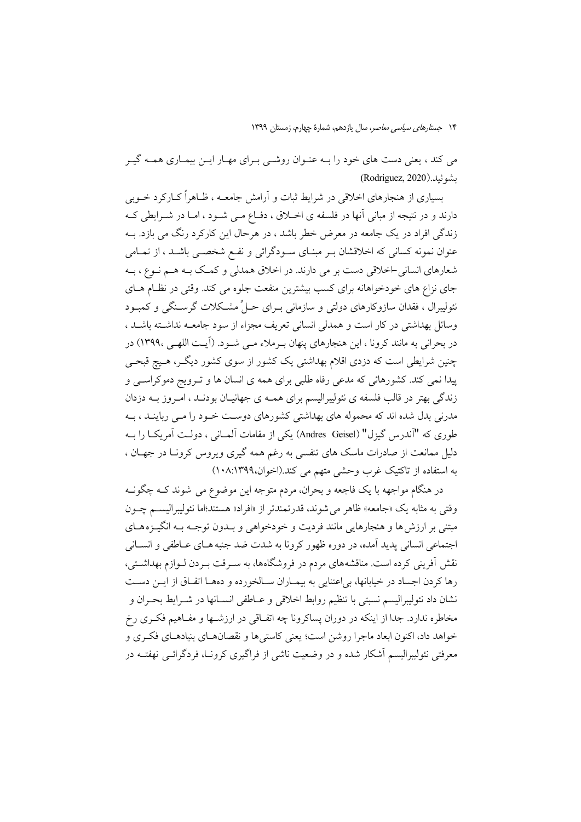می کند ، یعنی دست های خود را بـه عنـوان روشـی بـرای مهـار ایــن بیمـاری همـه گیـر (Rodriguez, 2020). لشو ئىلا

بسیاری از هنجارهای اخلاقی در شرایط ثبات و آرامش جامعــه ، ظــاهراً کــارکرد خــوبی دارند و در نتیجه از مبانی آنها در فلسفه ی اخــلاق ، دفــاع مــی شــود ، امــا در شــرایطی کــه زندگی افراد در یک جامعه در معرض خطر باشد ، در هرحال این کارکرد رنگ می بازد. بــه عنوان نمونه کسانی که اخلاقشان بـر مبنـای سـودگرائی و نفـع شخصـی باشـد ، از تمـامی شعارهای انسانی اخلاقی دست بر می دارند. در اخلاق همدلی و کمک بـه هــم نــوع ، بــه جای نزاع های خودخواهانه برای کسب بیشترین منفعت جلوه می کند. وقتی در نظـام هــای نئولیبرال ، فقدان سازوکارهای دولتی و سازمانی بـرای حـلٌّ مشـکلات گرسـنگی و کمبـود وسائل بهداشتی در کار است و همدلی انسانی تعریف مجزاء از سود جامعــه نداشــته باشــد ، در بحرانی به مانند کرونا ، این هنجارهای پنهان بـرملاء مـی شـود. (آیـت اللهـی ۱۳۹۹۰) در چنین شرایطی است که دزدی اقلام بهداشتی یک کشور از سوی کشور دیگـر، هـیچ قبحـی پیدا نمی کند. کشورهائی که مدعی رفاه طلبی برای همه ی انسان ها و تـرویج دموکراسـی و زندگی بهتر در قالب فلسفه ی نئولیبرالیسم برای همـه ی جهانیـان بودنـد ، امـروز بـه دزدان مدرنی بدل شده اند که محموله های بهداشتی کشورهای دوست خـود را مـی رباینـد ، بـه طوري كه "آندرس گيزل" (Andres Geisel) يكي از مقامات آلمــاني ، دولــت آمريكــا را بــه دلیل ممانعت از صادرات ماسک های تنفسی به رغم همه گیری ویروس کرونـا در جهـان ، به استفاده از تاکتیک غرب وحشی متهم می کند.(اخوان،١٣٩٩/١٠٨)

در هنگام مواجهه با یک فاجعه و بحران، مردم متوجه این موضوع می شوند کــه چگونــه وقتي به مثابه يک «جامعه» ظاهر مي شوند، قدرتمندتر از «افراد» هستند؛اما نئوليبراليسم چـون مبتنی بر ارزش ها و هنجارهایی مانند فردیت و خودخواهی و بـدون توجـه بـه انگیــزههـای اجتماعي انساني پديد آمده، در دوره ظهور كرونا به شدت ضد جنبه هـاي عـاطفي و انســاني نقش آفرینی کرده است. مناقشههای مردم در فروشگاهها، به سـرقت بـردن لـوازم بهداشـتی، رها كردن اجساد در خيابانها، بي اعتنايي به بيمــاران ســالخورده و دههــا اتفــاق از ايــن دســت نشان داد نئوليبراليسم نسبتي با تنظيم روابط اخلاقي و عــاطفي انســانها در شــرايط بحــران و مخاطره ندارد. جدا از اینکه در دوران پساکرونا چه اتفـاقی در ارزشـها و مفـاهیم فکـری رخ خواهد داد، اکنون ابعاد ماجرا روشن است؛ یعنی کاستی ها و نقصانهـای بنیادهـای فکـری و معرفتی نئولیبرالیسم آشکار شده و در وضعیت ناشی از فراگیری کرونـا، فردگرائــی نهفتــه در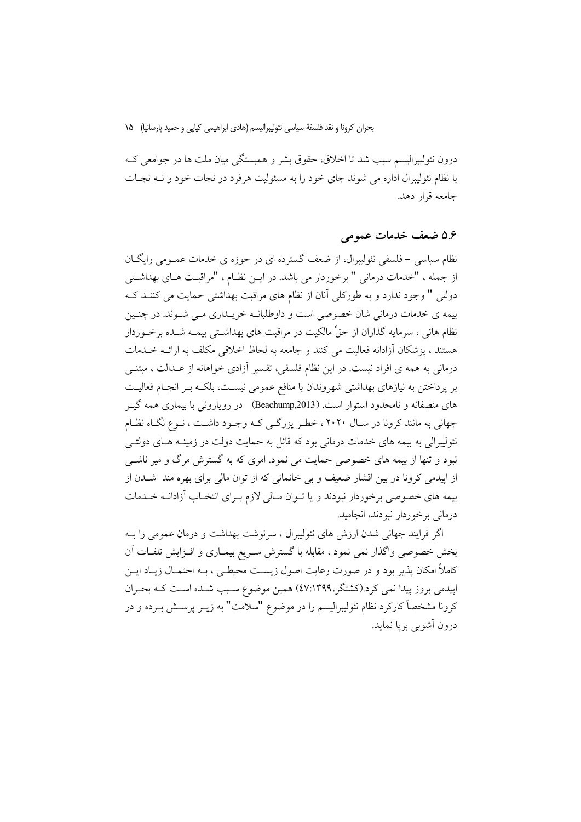بحران كرونا و نقد فلسفة سياسي نئوليبراليسم (هادي ابراهيمي كيايي و حميد پارسانيا) ۱۵

درون نئوليبراليسم سبب شد تا اخلاق، حقوق بشر و همبستگي ميان ملت ها در جوامعي کـه با نظام نئولیبرال اداره می شوند جای خود را به مسئولیت هرفرد در نجات خود و نـه نجـات جامعه قرار دهد.

### ۵.۶ ضعف خدمات عمومی

نظام سیاسی –فلسفی نئولیبرال، از ضعف گسترده ای در حوزه ی خدمات عمـومی رایگــان از جمله ، "خدمات درمانی " برخوردار می باشد. در ایــن نظــام ، "مراقبــت هــای بهداشــتی دولتی " وجود ندارد و به طورکلی آنان از نظام های مراقبت بهداشتی حمایت می کننـد کـه بیمه ی خدمات درمانی شان خصوصی است و داوطلبانـه خریـداری مـی شـوند. در چنـین نظام هائی ، سرمایه گذاران از حقٍّ مالکیت در مراقبت های بهداشــتی بیمــه شــده برخــوردار هستند ، يزشكان آزادانه فعاليت مي كنند و جامعه به لحاظ اخلاقي مكلف به ارائـه خـلـمات درمانی به همه ی افراد نیست. در این نظام فلسفی، تفسیر آزادی خواهانه از عـدالت ، مبتنـی بر پرداختن به نیازهای بهداشتی شهروندان با منافع عمومی نیسـت، بلکـه بـر انجـام فعالیـت های منصفانه و نامحدود استوار است. (Beachump,2013) در رویاروئی با بیماری همه گیــر جهانی به مانند کرونا در سـال ۲۰۲۰، خطـر پزرگـی کـه وجـود داشـت ، نـوع نگـاه نظـام نئولیبرالی به بیمه های خدمات درمانی بود که قائل به حمایت دولت در زمینــه هــای دولتــی نبود و تنها از بیمه های خصوصی حمایت می نمود. امری که به گسترش مرگ و میر ناشبی از ایپدمی کرونا در بین اقشار ضعیف و بی خانمانی که از توان مالی برای بهره مند شــدن از بیمه های خصوصی برخوردار نبودند و یا تـوان مـالی لازم بـرای انتخـاب آزادانــه خــدمات درمانی برخوردار نبودند، انجامید.

اگر فرایند جهانی شدن ارزش های نئولیبرال ، سرنوشت بهداشت و درمان عمومی را بــه بخش خصوصی واگذار نمی نمود ، مقابله با گسترش سـریع بیمـاری و افـزایش تلفـات آن کاملاً امکان پذیر بود و در صورت رعایت اصول زیست محیطبی ، بـه احتمـال زیـاد ایــن اپیدمی بروز پیدا نمی کرد.(کشتگر،٤٧:١٣٩٩) همین موضوع سـبب شـده اسـت کـه بحـران کرونا مشخصاً کارکرد نظام نئولیبرالیسم را در موضوع "سلامت" به زیــر پرســش بــرده و در درون آشوبي بريا نمايد.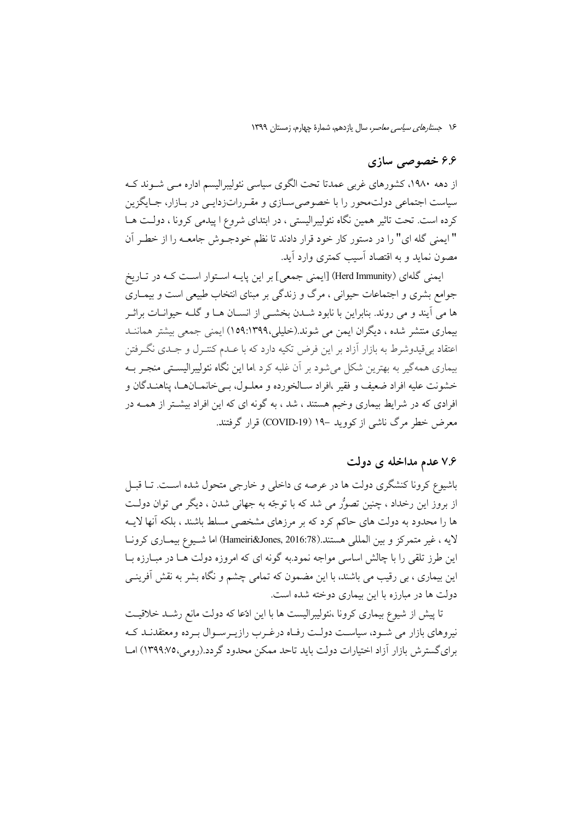#### ۶۶ خصوصی سازی

از دهه ۱۹۸۰، کشورهای غربی عمدتا تحت الگوی سیاسی نئولیبرالیسم اداره مبی شـوند کـه سیاست اجتماعی دولت.حور را با خصوصی سـازی و مقـرراتزدایـی در بـازار، جـایگزین کرده است. تحت تاثیر همین نگاه نئولیبرالیستی ، در ابتدای شروع ا پیدمی کرونا ، دولت هـا " ايمنى گله اى" را در دستور كار خود قرار دادند تا نظم خودجـوش جامعـه را از خطـر آن مصون نماید و به اقتصاد آسیب کمتری وارد آید.

ایمنی گلهای (Herd Immunity) [ایمنی جمعی] بر این پایـه اسـتوار اسـت کـه در تـاریخ جوامع بشری و اجتماعات حیوانی ، مرگ و زندگی بر مبنای انتخاب طبیعی است و بیمــاری ها می آیند و می روند. بنابراین با نابود شــدن بخشــی از انســان هــا و گلــه حیوانــات براثــر بیماری منتشر شده ، دیگران ایمن می شوند.(خلیلی،۱۳۹۹:۱۵۹) ایمنی جمعی بیشتر هماننـد اعتقاد بی قیدوشرط به بازار آزاد بر این فرض تکیه دارد که با عــدم کنتــرل و جــدی نگــرفتن بیماری همه گیر به بهترین شکل می شود بر آن غلبه کرد .اما این نگاه نئولیبرالیستی منجـر بــه خشونت عليه افراد ضعيف و فقير ،افراد سـالخورده و معلـول، بـي خانمــانهــا، يناهنــدگان و افرادی که در شرایط بیماری وخیم هستند ، شد ، به گونه ای که این افراد بیشـتر از همــه در معرض خطر مرگ ناشی از کووید –۱۹ (COVID-19) قرار گرفتند.

# ۷.۶ عدم مداخله ی دولت

باشیوع کرونا کنشگری دولت ها در عرصه ی داخلی و خارجی متحول شده اسـت. تــا قبــل از بروز این رخداد ، چنین تصوُّر می شد که با توجّه به جهانی شدن ، دیگر می توان دولت ها را محدود به دولت های حاکم کرد که بر مرزهای مشخصی مسلط باشند ، بلکه آنها لایـه لايه ، غير متمركز و بين المللي هستند.(Hameiri&Jones, 2016:78) اما شـيوع بيمـاري كرونـا این طرز تلقی را با چالش اساسی مواجه نمود.به گونه ای که امروزه دولت هـا در مبـارزه بـا این بیماری ، بی رقیب می باشند، با این مضمون که تمامی چشم و نگاه بشر به نقش آفرینــی دولت ها در مبارزه با این بیماری دوخته شده است.

تا پیش از شیوع بیماری کرونا ،نئولیبرالیست ها با این ادّعا که دولت مانع رشـد خلاقیـت نیروهای بازار می شـود، سیاسـت دولـت رفـاه درغـرب رازیـرسـوال بـرده ومعتقدنـد کـه برای گسترش بازار آزاد اختیارات دولت باید تاحد ممکن محدود گردد.(رومی،١٣٩٩:٧٥) امـا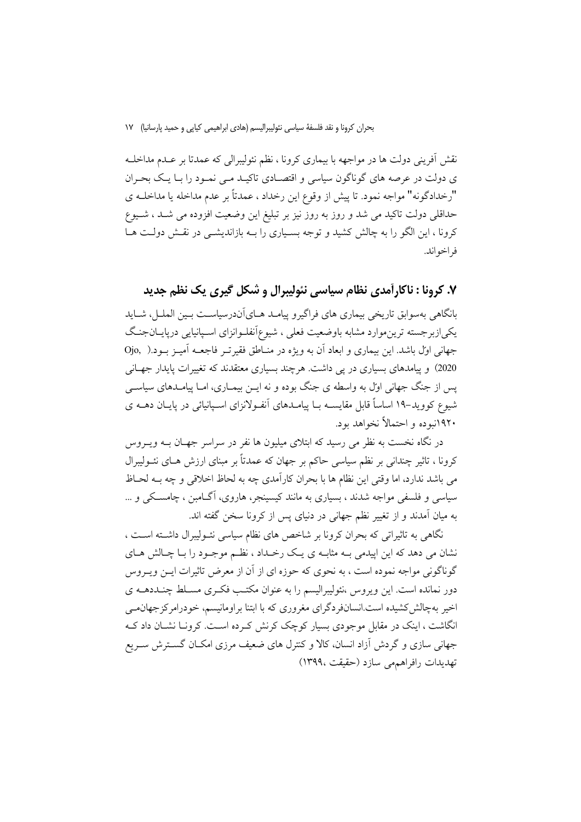بحران كرونا و نقد فلسفة سياسي نئوليبراليسم (هادي ابراهيمي كيايي و حميد يارسانيا) ١٧

نقش اَفرینی دولت ها در مواجهه با بیماری کرونا ، نظم نئولیبرالی که عمدتا بر عــدم مداخلــه ی دولت در عرصه های گوناگون سیاسی و اقتصـادی تاکیـد مـی نمـود را بـا یـک بحـران "رخدادگونه" مواجه نمود. تا پیش از وقوع این رخداد ، عمدتاً بر عدم مداخله یا مداخلـه ی حداقلی دولت تاکید می شد و روز به روز نیز بر تبلیغ این وضعیت افزوده می شـد ، شـیوع کرونا ، این الگو را به چالش کشید و توجه بسـیاری را بـه بازاندیشـی در نقـش دولـت هـا فر اخو اند.

# ۷. کرونا : ناکارآمدی نظام سیاسی نئولیبرال و شکل گیری یک نظم جدید

بانگاهی بهسوابق تاریخی بیماری های فراگیرو پیامـد هــایآندرسیاســت بــین الملــل، شــاید یکیازبرجسته ترین.موارد مشابه باوضعیت فعلی ، شیوعآنفلـوانزای اسـپانیایی درپایــانجنـگ جهانی اول باشد. این بیماری و ابعاد آن به ویژه در منـاطق فقیرتـر فاجعــه آمیــز بــود.( Ojo, 2020) و پیامدهای بسیاری در یی داشت. هرچند بسیاری معتقدند که تغییرات پایدار جهـانی پس از جنگ جهانی اول به واسطه ی جنگ بوده و نه ایــن بیمــاری، امــا پیامــدهای سیاســی شیوع کووید–۱۹ اساساً قابل مقایســه بــا پیامــدهای آنفــولانزای اســیانیائی در پایــان دهــه ی ۱۹۲۰نیوده و احتمالاً نخواهد بود.

در نگاه نخست به نظر می رسید که ابتلای میلیون ها نفر در سراسر جهـان بــه ویــروس کرونا ، تاثیر چندانی بر نظم سیاسی حاکم بر جهان که عمدتاً بر مبنای ارزش هـای نئــولیبرال مي باشد ندارد، اما وقتي اين نظام ها با بحران كارآمدي چه به لحاظ اخلاقي و چه بــه لحــاظ سیاسی و فلسفی مواجه شدند ، بسیاری به مانند کیسینجر، هاروی، آگــامبن ، چامســکی و … به میان اَمدند و از تغییر نظم جهانی در دنیای پس از کرونا سخن گفته اند.

نگاهی به تاثیراتی که بحران کرونا بر شاخص های نظام سیاسی نئـولیبرال داشـته اسـت ، نشان می دهد که این اپیدمی بـه مثابـه ی یـک رخـداد ، نظـم موجـود را بـا چـالش هـای گوناگونی مواجه نموده است ، به نحوی که حوزه ای از آن از معرض تاثیرات ایــن ویــروس دور نمانده است. این ویروس ،نئولیبرالیسم را به عنوان مکتب فکـری مسـلط چنـددهــه ی اخیر بهچالش کشیده است.انسانفردگرای مغروری که با ابتنا براومانیسم، خودرامرکزجهانمی انگاشت ، اینک در مقابل موجودی بسیار کوچک کرنش کے دہ است. کرونیا نشیان داد کیه جهانی سازی و گردش آزاد انسان، کالا و کنترل های ضعیف مرزی امکـان گســترش ســریع تهديدات رافراهمهر سازد (حقيقت ١٣٩٩٤)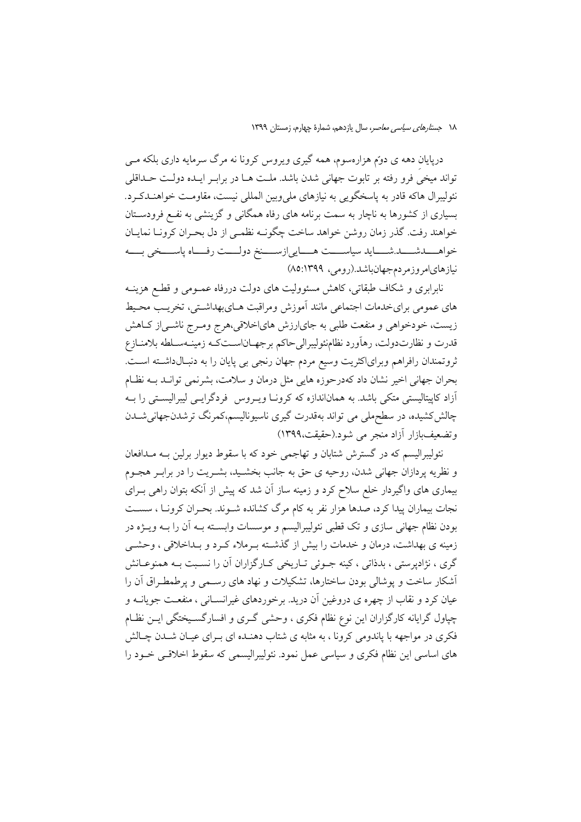دریایان دهه ی دوتم هزارهسوم، همه گیری ویروس کرونا نه مرگ سرمایه داری بلکه مــی تواند میخی فرو رفته بر تابوت جهانی شدن باشد. ملت هــا در برابـر ایــده دولــت حــداقلی نئوليبرال هاكه قادر به پاسخگويي به نيازهاي مليeبين المللي نيست، مقاومت خواهنـدكـرد. بسیاری از کشورها به ناچار به سمت برنامه های رفاه همگانی و گزینشی به نفـع فرودسـتان خواهند رفت. گذر زمان روشن خواهد ساخت چگونـه نظمـی از دل بحـران کرونــا نمايــان خواهــــــــدشـــــــــد.شــــــــايد سياســـــــت هــــــايي(زســــــنخ دولــــت رفــــاه پاســــخي بـــــه نیازهای امروزمر دم جهان باشد.(رومی، ۱۳۹۹: ۸۵)

نابرابری و شکاف طبقاتی، کاهش مسئوولیت های دولت دررفاه عمـومی و قطـع هزینــه های عمومی برای خدمات اجتماعی مانند آموزش ومراقبت هـایبهداشـتی، تخریـب محـیط زيست، خودخواهي و منفعت طلبي به جاي(رزش هاي(خلاقي،هرج ومـرج ناشـي(ز كــاهش قدرت و نظارتدولت، رهآورد نظامنئوليبراليحاكم برجهـاناسـتكـه زمينـهسـلطه بلامنــازع ثروتمندان رافراهم وبراي اكثريت وسيع مردم جهان رنجي بي پايان را به دنبـالداشـته اسـت. بحران جهانی اخیر نشان داد کهدرحوزه هایی مثل درمان و سلامت، بشرنمی توانـد بــه نظـام آزاد کاپیتالیستی متکی باشد. به هماناندازه که کرونـا ویــروس فردگرایــی لیبرالیســتی را بــه چالش کشیده، در سطحملی می تواند بهقدرت گیری ناسیونالیسم،کمرنگ ترشدنجهانیشــدن وتضعيفبازار آزاد منجر مي شود.(حقيقت،١٣٩٩)

نئولیبرالیسم که در گسترش شتابان و تهاجمی خود که با سقوط دیوار برلین بـه مـدافعان و نظریه پردازان جهانی شدن، روحیه ی حق به جانب بخشـید، بشـریت را در برابـر هجـوم بیماری های واگیردار خلع سلاح کرد و زمینه ساز آن شد که پیش از آنکه بتوان راهی بـرای نجات بیماران پیدا کرد، صدها هزار نفر به کام مرگ کشانده شـوند. بحـران کرونـا ، سسـت بودن نظام جهانی سازی و تک قطبی نئولیبرالیسم و موسسات وابســته بــه اَن را بــه ویــژه در زمینه ی بهداشت، درمان و خدمات را بیش از گذشته بـرملاء کـرد و بـداخلاقی ، وحشــی گري ، نژادپرستي ، بدذاتي ، کينه جـوئي تـاريخي کـارگزاران آن را نسـبت بـه همنوعـانش أشكار ساخت و يوشالي بودن ساختارها، تشكيلات و نهاد هاي رسـمي و يرطمطـراق اَن را عیان کرد و نقاب از چهره ی دروغین آن درید. برخوردهای غیرانســانی ، منفعــت جویانــه و چپاول گرایانه کارگزاران این نوع نظام فکری ، وحشی گـری و افسارگسـیختگی ایــن نظـام فکری در مواجهه با پاندومی کرونا ، به مثابه ی شتاب دهنـده ای بـرای عیـان شـدن چـالش های اساسی این نظام فکری و سیاسی عمل نمود. نئولیبرالیسمی که سقوط اخلاقبی خــود را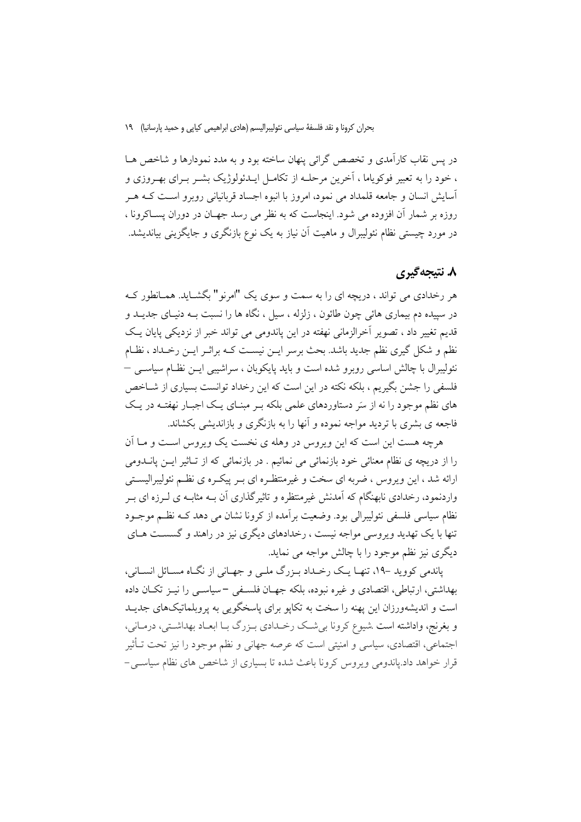بحران كرونا و نقد فلسفة سياسي نئوليبراليسم (هادي ابراهيمي كيايي و حميد پارسانيا) ١٩

در پس نقاب کارآمدی و تخصص گرائی پنهان ساخته بود و به مدد نمودارها و شاخص هـا ، خود را به تعبیر فوکوپاما ، آخرین مرحلـه از تکامـل ایـدئولوژیک بشــر بــرای بهــروزی و آسایش انسان و جامعه قلمداد می نمود، امروز با انبوه اجساد قربانیانی روبرو است کـه هـر روزه بر شمار آن افزوده می شود. اینجاست که به نظر می رسد جهـان در دوران پســاکرونا ، در مورد چیستی نظام نئولیبرال و ماهیت اَن نیاز به یک نوع بازنگری و جایگزینی بیاندیشد.

# ۸. نتیجهگیری

هر رخدادی می تواند ، دریچه ای را به سمت و سوی یک "امرنو" بگشـاید. همـانطور کـه در سییده دم بیماری هائی چون طائون ، زلزله ، سیل ، نگاه ها را نسبت بــه دنیــای جدیــد و قدیم تغییر داد ، تصویر اَخرالزمانی نهفته در این پاندومی می تواند خبر از نزدیکی پایان یک نظم و شکل گیری نظم جدید باشد. بحث برسر ایــن نیســت کــه براثــر ایــن رخــداد ، نظــام نئولیبرال با چالش اساسی روبرو شده است و باید پایکوبان ، سراشیبی ایــن نظــام سیاســی — فلسفی را جشن بگیریم ، بلکه نکته در این است که این رخداد توانست بسیاری از شــاخص های نظم موجود را نه از سَر دستاوردهای علمی بلکه بـر مبنـای یـک اجبـار نهفتـه در یـک فاجعه ی بشری با تردید مواجه نموده و آنها را به بازنگری و بازاندیشی بکشاند.

هرچه هست این است که این ویروس در وهله ی نخست یک ویروس است و مــا آن را از دریچه ی نظام معنائی خود بازنمائی می نمائیم . در بازنمائی که از تـاثیر ایــن پانــدومی ارائه شد ، این ویروس ، ضربه ای سخت و غیرمنتظـره ای بـر پیکـره ی نظـم نئولیبرالیسـتی واردنمود، رخدادی نابهنگام که آمدنش غیرمنتظره و تاثیر گذاری آن بـه مثابـه ی لــرزه ای بــر نظام سیاسی فلسفی نئولیبرالی بود. وضعیت بر آمده از کرونا نشان می دهد کــه نظــم موجــود تنها با یک تهدید و پروسی مواجه نیست ، رخدادهای دیگری نیز در راهند و گسست هیای دیگری نیز نظم موجود را با چالش مواجه می نماید.

پاندمی کووید -۱۹، تنهـا یـک رخـداد بـزرگ ملـی و جهـانی از نگـاه مسـائل انسـانی، بهداشتی، ارتباطی، اقتصادی و غیره نبوده، بلکه جهـان فلسـفی –سیاســی را نیــز تکــان داده است و اندیشهورزان این یهنه را سخت به تکایو برای پاسخگویی به پروبلماتیکهای جدیـد و بغرنج، وإداشته است بشبوع کرونا به شبک رخسدادی بیزرگ بیا ابعیاد بهداشته ، درمیانه ، اجتماعی، اقتصادی، سیاسی و امنیتی است که عرصه جهانی و نظم موجود را نیز تحت تـأثیر قرار خواهد داد.یاندومی ویروس کرونا باعث شده تا بسیاری از شاخص های نظام سیاسی –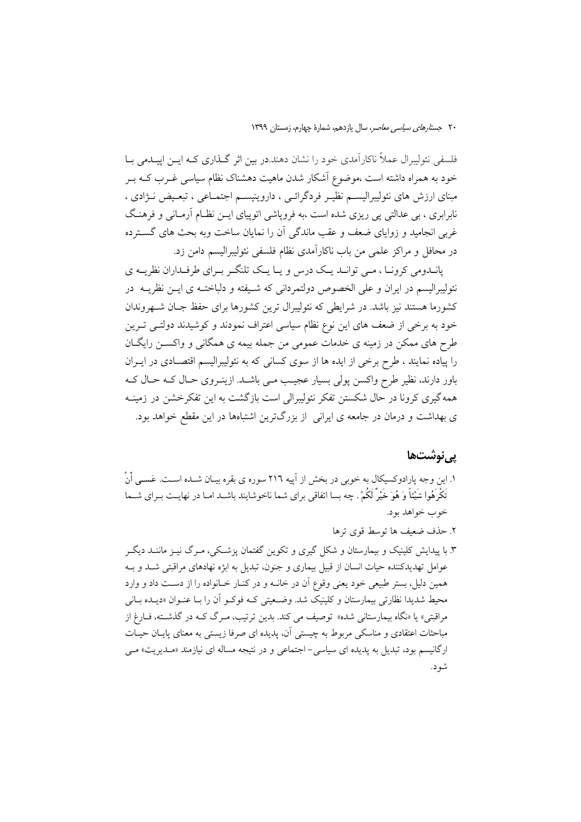فلسفی نئولیبرال عملاً ناکارآمدی خود را نشان دهند.در بین اثر گـذاری کـه ایــن اییــدمی بــا خود به همراه داشته است ،موضوع آشکار شدن ماهیت دهشناک نظام سیاسی غـرب کــه بــر مبنای ارزش های نئولیبرالیسـم نظیـر فردگرائـی ، داروینیسـم اجتمـاعی ، تبعـیض نـژادی ، نابرابری ، بی عدالتی یی ریزی شده است ،به فرویاشی اتوییای ایــن نظـام آرمــانی و فرهنـگ غربی انجامید و زوایای ضعف و عقب ماندگی آن را نمایان ساخت وبه بحث های گسترده در محافل و مراکز علمی من باب ناکارآمدی نظام فلسفی نئولیبرالیسم دامن زد.

پانسدومی کرونیا ، مبی توانید ییک درس و پیا ییک تلنگ و بیرای طرفیداران نظرییه ی نئوليبراليسم در ايران و على الخصوص دولتمرداني كه شـيفته و دلباختــه ي ايــن نظريــه در کشورما هستند نیز باشد. در شرایطی که نئولیبرال ترین کشورها برای حفظ جـان شــهروندان خود به برخی از ضعف های این نوع نظام سیاسی اعتراف نمودند و کوشیدند دولتـی تـرین طرح های ممکن در زمینه ی خدمات عمومی من جمله بیمه ی همگانی و واکســن رایگــان را پیاده نمایند ، طرح برخی از ایده ها از سوی کسانی که به نئولیبرالیسم اقتصـادی در ایــران باور دارند، نظیر طرح واکسن یولی بسیار عجیب مـی باشـد. ازینـروی حـال کـه حـال کـه همه گیری کرونا در حال شکستن تفکر نئولیبرالی است بازگشت به این تفکرخشن در زمینـه ی بهداشت و درمان در جامعه ی ایرانی از بزرگترین اشتباهها در این مقطع خواهد بود.

### یے نوشتھا

- ١. اين وجه يارادوكسيكال به خوبي در بخش از آييه ٢١٦ سوره ي بقره بيـان شــده اســت. عَســي أَنْ تَكْرُهُوا شَيْئاً وَ هُوَ خَيْرٌ لَكُمْ . چه بسا اتفاقى براى شما ناخوشايند باشــد امــا در نهايــت بــراى شــما خوب خواهد بود.
	- ٢. حذف ضعيف ها توسط قوي ترها
- ۳. با پیدایش کلینیک و بیمارستان و شکل گیری و تکوین گفتمان پزشکی، میرگ نیـز ماننــد دیگــر عوامل تهدیدکننده حیات انسان از قبیل بیماری و جنون، تبدیل به ابژه نهادهای مراقبتی شــد و بــه همین دلیل، بستر طبیعی خود یعنی وقوع آن در خانــه و در کنــار خــانواده را از دســت داد و وارد محیط شدیدا نظارتی بیمارستان و کلینیک شد. وضعیتی کـه فوکـو آن را بـا عنـوان «دیـده بـانی مراقبتي» يا «نگاه بيمارستاني شده» توصيف مي كند. بدين ترتيب، مـرگ كــه در گذشــته، فــارغ از مباحثات اعتقادی و مناسکی مربوط به چیستی آن، پدیده ای صرفا زیستی به معنای پایـان حیـات ارگانیسم بود، تبدیل به پدیده ای سیاسی- اجتماعی و در نتیجه مساله ای نیازمند «مـدیریت» مـی شو د.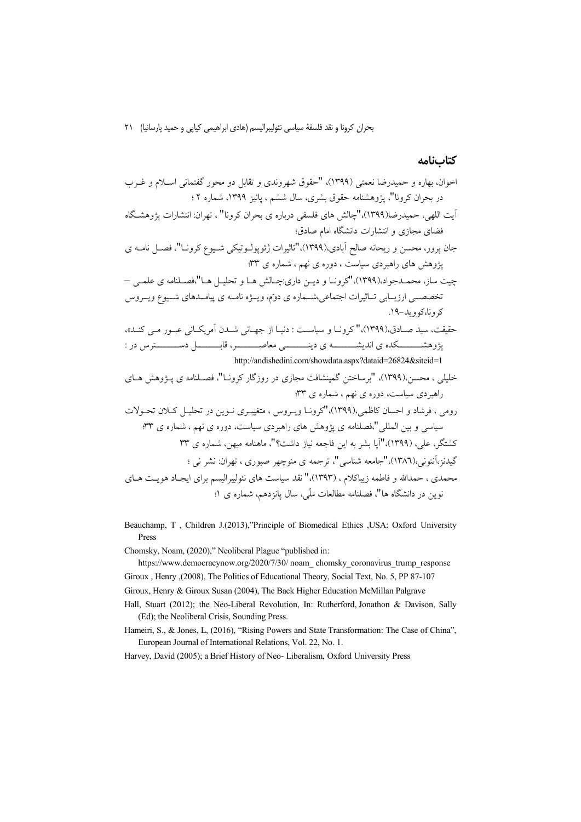بحران كرونا و نقد فلسفة سياسي نئوليبراليسم (هادي ابراهيمي كيابي و حميد پارسانيا) ٢١

#### كتابنامه

Beauchamp, T , Children J.(2013),"Principle of Biomedical Ethics , USA: Oxford University Press

Chomsky, Noam, (2020)," Neoliberal Plague "published in:

https://www.democracynow.org/2020/7/30/ noam\_chomsky\_coronavirus\_trump\_response Giroux , Henry , (2008), The Politics of Educational Theory, Social Text, No. 5, PP 87-107

Giroux, Henry & Giroux Susan (2004), The Back Higher Education McMillan Palgrave

Hall, Stuart (2012); the Neo-Liberal Revolution, In: Rutherford, Jonathon & Davison, Sally (Ed); the Neoliberal Crisis, Sounding Press.

Hameiri, S., & Jones, L. (2016), "Rising Powers and State Transformation: The Case of China", European Journal of International Relations, Vol. 22, No. 1.

Harvey, David (2005); a Brief History of Neo-Liberalism, Oxford University Press